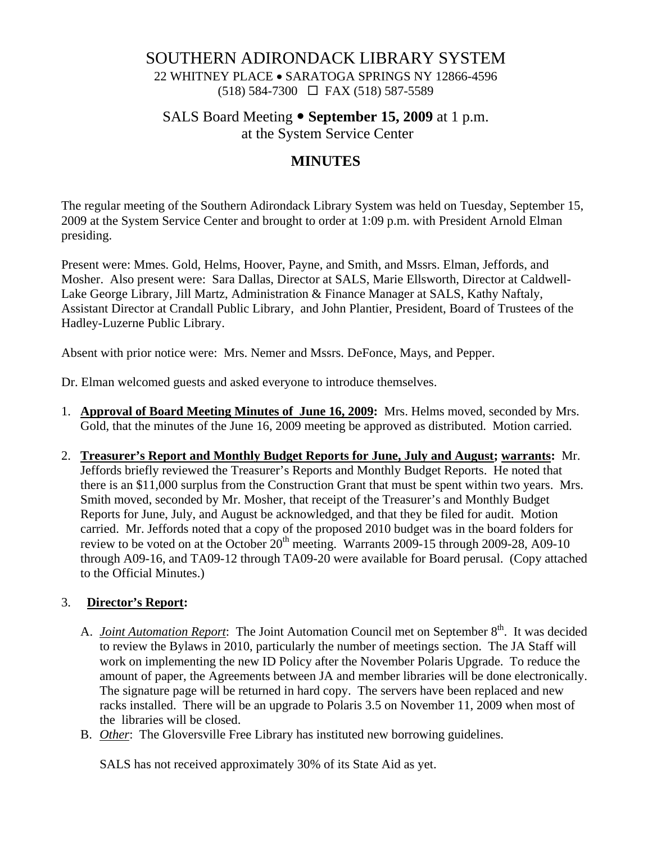### SOUTHERN ADIRONDACK LIBRARY SYSTEM

22 WHITNEY PLACE • SARATOGA SPRINGS NY 12866-4596 (518) 584-7300 FAX (518) 587-5589

SALS Board Meeting • September 15, 2009 at 1 p.m.

at the System Service Center

# **MINUTES**

The regular meeting of the Southern Adirondack Library System was held on Tuesday, September 15, 2009 at the System Service Center and brought to order at 1:09 p.m. with President Arnold Elman presiding.

Present were: Mmes. Gold, Helms, Hoover, Payne, and Smith, and Mssrs. Elman, Jeffords, and Mosher. Also present were: Sara Dallas, Director at SALS, Marie Ellsworth, Director at Caldwell-Lake George Library, Jill Martz, Administration & Finance Manager at SALS, Kathy Naftaly, Assistant Director at Crandall Public Library, and John Plantier, President, Board of Trustees of the Hadley-Luzerne Public Library.

Absent with prior notice were: Mrs. Nemer and Mssrs. DeFonce, Mays, and Pepper.

Dr. Elman welcomed guests and asked everyone to introduce themselves.

- 1. **Approval of Board Meeting Minutes of June 16, 2009:** Mrs. Helms moved, seconded by Mrs. Gold, that the minutes of the June 16, 2009 meeting be approved as distributed. Motion carried.
- 2. **Treasurer's Report and Monthly Budget Reports for June, July and August; warrants:** Mr. Jeffords briefly reviewed the Treasurer's Reports and Monthly Budget Reports. He noted that there is an \$11,000 surplus from the Construction Grant that must be spent within two years. Mrs. Smith moved, seconded by Mr. Mosher, that receipt of the Treasurer's and Monthly Budget Reports for June, July, and August be acknowledged, and that they be filed for audit. Motion carried. Mr. Jeffords noted that a copy of the proposed 2010 budget was in the board folders for review to be voted on at the October  $20<sup>th</sup>$  meeting. Warrants 2009-15 through 2009-28, A09-10 through A09-16, and TA09-12 through TA09-20 were available for Board perusal. (Copy attached to the Official Minutes.)

### 3. **Director's Report:**

- A. *Joint Automation Report*: The Joint Automation Council met on September 8<sup>th</sup>. It was decided to review the Bylaws in 2010, particularly the number of meetings section. The JA Staff will work on implementing the new ID Policy after the November Polaris Upgrade. To reduce the amount of paper, the Agreements between JA and member libraries will be done electronically. The signature page will be returned in hard copy. The servers have been replaced and new racks installed. There will be an upgrade to Polaris 3.5 on November 11, 2009 when most of the libraries will be closed.
- B. *Other*: The Gloversville Free Library has instituted new borrowing guidelines.

SALS has not received approximately 30% of its State Aid as yet.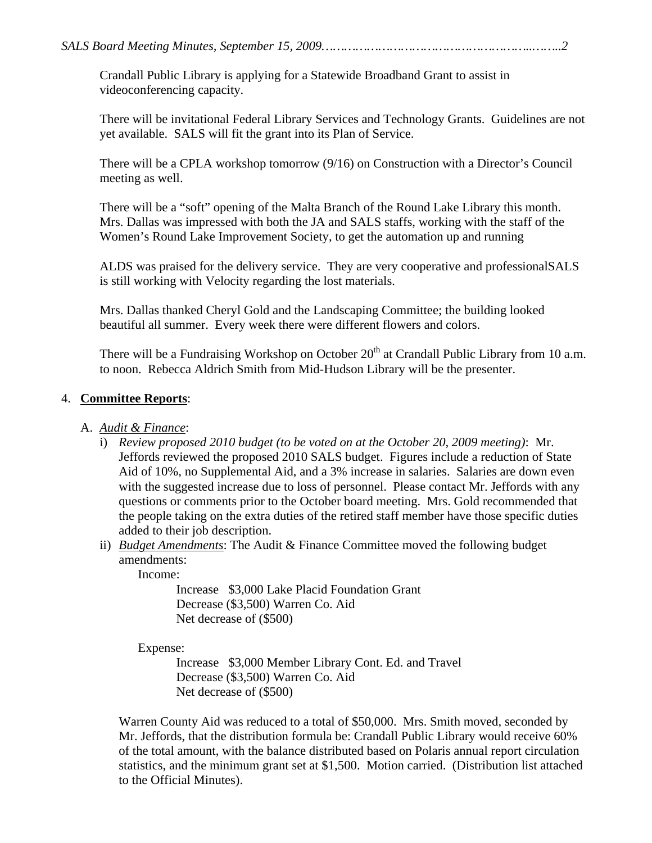Crandall Public Library is applying for a Statewide Broadband Grant to assist in videoconferencing capacity.

There will be invitational Federal Library Services and Technology Grants. Guidelines are not yet available. SALS will fit the grant into its Plan of Service.

There will be a CPLA workshop tomorrow (9/16) on Construction with a Director's Council meeting as well.

There will be a "soft" opening of the Malta Branch of the Round Lake Library this month. Mrs. Dallas was impressed with both the JA and SALS staffs, working with the staff of the Women's Round Lake Improvement Society, to get the automation up and running

ALDS was praised for the delivery service. They are very cooperative and professionalSALS is still working with Velocity regarding the lost materials.

Mrs. Dallas thanked Cheryl Gold and the Landscaping Committee; the building looked beautiful all summer. Every week there were different flowers and colors.

There will be a Fundraising Workshop on October  $20<sup>th</sup>$  at Crandall Public Library from 10 a.m. to noon. Rebecca Aldrich Smith from Mid-Hudson Library will be the presenter.

## 4. **Committee Reports**:

## A. *Audit & Finance*:

- i) *Review proposed 2010 budget (to be voted on at the October 20, 2009 meeting)*: Mr. Jeffords reviewed the proposed 2010 SALS budget. Figures include a reduction of State Aid of 10%, no Supplemental Aid, and a 3% increase in salaries. Salaries are down even with the suggested increase due to loss of personnel. Please contact Mr. Jeffords with any questions or comments prior to the October board meeting. Mrs. Gold recommended that the people taking on the extra duties of the retired staff member have those specific duties added to their job description.
- ii) *Budget Amendments*: The Audit & Finance Committee moved the following budget amendments:

Income:

Increase \$3,000 Lake Placid Foundation Grant Decrease (\$3,500) Warren Co. Aid Net decrease of (\$500)

Expense:

Increase \$3,000 Member Library Cont. Ed. and Travel Decrease (\$3,500) Warren Co. Aid Net decrease of (\$500)

Warren County Aid was reduced to a total of \$50,000. Mrs. Smith moved, seconded by Mr. Jeffords, that the distribution formula be: Crandall Public Library would receive 60% of the total amount, with the balance distributed based on Polaris annual report circulation statistics, and the minimum grant set at \$1,500. Motion carried. (Distribution list attached to the Official Minutes).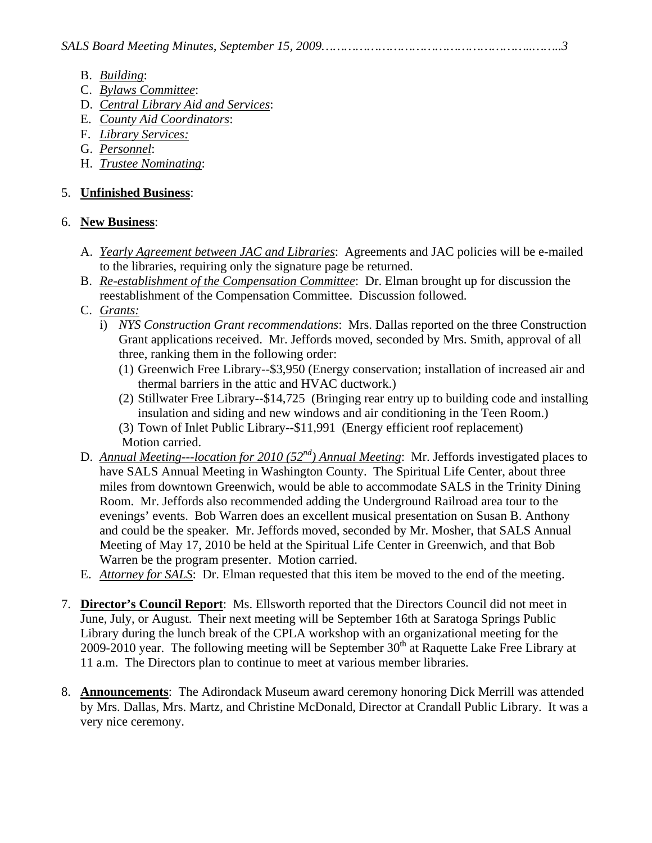- B. *Building*:
- C. *Bylaws Committee*:
- D. *Central Library Aid and Services*:
- E. *County Aid Coordinators*:
- F. *Library Services:*
- G. *Personnel*:
- H. *Trustee Nominating*:

## 5. **Unfinished Business**:

### 6. **New Business**:

- A. *Yearly Agreement between JAC and Libraries*: Agreements and JAC policies will be e-mailed to the libraries, requiring only the signature page be returned.
- B. *Re-establishment of the Compensation Committee*: Dr. Elman brought up for discussion the reestablishment of the Compensation Committee. Discussion followed.
- C. *Grants:*
	- i) *NYS Construction Grant recommendations*: Mrs. Dallas reported on the three Construction Grant applications received. Mr. Jeffords moved, seconded by Mrs. Smith, approval of all three, ranking them in the following order:
		- (1) Greenwich Free Library--\$3,950 (Energy conservation; installation of increased air and thermal barriers in the attic and HVAC ductwork.)
		- (2) Stillwater Free Library--\$14,725 (Bringing rear entry up to building code and installing insulation and siding and new windows and air conditioning in the Teen Room.)
		- (3) Town of Inlet Public Library--\$11,991 (Energy efficient roof replacement) Motion carried.
- D. *Annual Meeting---location for 2010 (52<sup>nd</sup>) Annual Meeting*: Mr. Jeffords investigated places to have SALS Annual Meeting in Washington County. The Spiritual Life Center, about three miles from downtown Greenwich, would be able to accommodate SALS in the Trinity Dining Room. Mr. Jeffords also recommended adding the Underground Railroad area tour to the evenings' events. Bob Warren does an excellent musical presentation on Susan B. Anthony and could be the speaker. Mr. Jeffords moved, seconded by Mr. Mosher, that SALS Annual Meeting of May 17, 2010 be held at the Spiritual Life Center in Greenwich, and that Bob Warren be the program presenter. Motion carried.
- E. *Attorney for SALS*: Dr. Elman requested that this item be moved to the end of the meeting.
- 7. **Director's Council Report**: Ms. Ellsworth reported that the Directors Council did not meet in June, July, or August. Their next meeting will be September 16th at Saratoga Springs Public Library during the lunch break of the CPLA workshop with an organizational meeting for the 2009-2010 year. The following meeting will be September  $30<sup>th</sup>$  at Raquette Lake Free Library at 11 a.m. The Directors plan to continue to meet at various member libraries.
- 8. **Announcements**: The Adirondack Museum award ceremony honoring Dick Merrill was attended by Mrs. Dallas, Mrs. Martz, and Christine McDonald, Director at Crandall Public Library. It was a very nice ceremony.